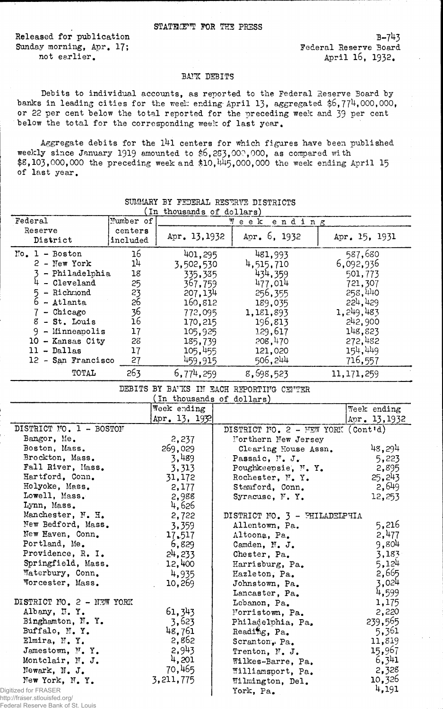Released for publication Sunday morning, Apr. 17; not earlier.

## BATK DEBITS

Debits to individual accounts, as reported to the Federal Reserve Board by banks in leading cities for the week ending April 13, aggregated \$6,774,000,000, or 22 per cent below the total reported for the preceding week and 39 per cent below the total for the corresponding week of last year.

Aggregate debits for the 141 centers for which figures have been published weekly since January 1919 amounted to  $$6,25,000,000$ , as compared with  $$8,103,000,000$  the preceding week and  $$10,445,000,000$  the week ending April 15 of last year.

| In thousands of dollars)                                              |                     |               |  |                                      |  |               |
|-----------------------------------------------------------------------|---------------------|---------------|--|--------------------------------------|--|---------------|
| Federal                                                               | Number of           |               |  | ending<br>Week                       |  |               |
| Reserve<br>District                                                   | centers<br>included | Apr. 13, 1932 |  | Apr. $6, 1932$                       |  | Apr. 15, 1931 |
| $No. 1 - Boston$                                                      | 16                  | 401,295       |  | 481,993                              |  | 587,680       |
| $2$ - New York                                                        | 14                  | 3,502,530     |  | 4,515,710                            |  | 6,092,936     |
| 3 - Philadelphia                                                      | 18                  | 335,385       |  | 434,359                              |  | 501,773       |
| $4$ - Cleveland                                                       | 25                  | 367,759       |  | 477,014                              |  | 721,307       |
| $5 - Richard$                                                         | 23                  | 207,134       |  | 256,355                              |  | 258,440       |
| 6 - Atlanta                                                           | 26                  | 160,812       |  | 189,035                              |  | 224,429       |
| $7$ - Chicago                                                         | 36                  | 772,095       |  | 1,181,893                            |  | 1, 249, 483   |
| $8 - St.$ Louis                                                       | 16                  | 170,215       |  | 196,813                              |  | 242,900       |
| $9 -$ Minneapolis                                                     | 17                  | 105,925       |  | 129,617                              |  | 148,823       |
| 10 - Kansas City                                                      | 28                  | 185,739       |  | 208,470                              |  | 272,482       |
| $11 - Dallas$                                                         | 17                  | 105,455       |  | 121,020                              |  | 154,449       |
| 12 - San Francisco                                                    | 27                  | 459,915       |  | 506,244                              |  | 716,557       |
| TOTAL                                                                 | 263                 | 6,774,259     |  | 8,698,523                            |  | 11, 171, 259  |
| DEBITS BY BA'KS IN EACH REPORTING CENTER<br>(In thousands of dollars) |                     |               |  |                                      |  |               |
|                                                                       |                     | Week ending   |  |                                      |  | Week ending   |
|                                                                       |                     | Apr. 13, 1932 |  |                                      |  | Apr. 13, 1932 |
| DISTRICT MO. 1 - BOSTON                                               |                     |               |  | DISTRICT NO. $2 - MEW$ YORK (Cont'd) |  |               |
| Bangor, Me.                                                           |                     | 2,237         |  | Northern New Jersey                  |  |               |
| Boston, Mass.                                                         |                     | 269,029       |  | Clearing House Assn.                 |  | 48,294        |
| Brockton, Mass.                                                       |                     | 3,489         |  | Passaic, I'. J.                      |  | 5,223         |
| Fall River, Mass.                                                     |                     | 3,313         |  | Poughkeepsie, M. Y.                  |  | 2,895         |
| Hartford, Conn.                                                       |                     | 31,172        |  | Rochester, N.Y.                      |  | 25,243        |
| Holyoke, Mass.                                                        |                     | 2,177         |  | Stamford, Conn.                      |  | 2,649         |
| Lowell, Mass.                                                         |                     | 2,988         |  | Syracuse, N.Y.                       |  | 12,253        |
| Lynn, Mass.                                                           |                     | 4,626         |  |                                      |  |               |
| Manchester, N. H.                                                     |                     | 2,722         |  | DISTRICT NO. 3 - PHILADELPHIA        |  |               |
| New Bedford, Mass.                                                    |                     | 3,359         |  | Allentown, Pa.                       |  | 5,216         |
| New Haven, Conn.                                                      |                     | 17.517        |  | Altoona, Pa.                         |  | 2,477         |
| Portland, Me.                                                         |                     | 6,829         |  | Camden, N. J.                        |  | 9,804         |
| Providence, R. I.                                                     |                     | 24,233        |  | Chester, Pa.                         |  | 3,183         |
| Springfield, Mass.                                                    |                     | 12,400        |  | Harrisburg, Pa.                      |  | 5,124         |
| Waterbury, Conn.                                                      |                     | 4,935         |  | Hazleton, Pa.                        |  | 2,665         |
| Worcester, Mass.                                                      |                     | 10,269        |  | Johnstown, Pa.                       |  | 3,024         |
|                                                                       |                     |               |  | Lancaster, Pa.                       |  | 4,599         |
| DISTRICT NO. 2 - NEW YORK                                             |                     |               |  | Lebanon, Pa.                         |  | 1,175         |
| Albany, N.Y.                                                          |                     | 61, 343       |  | Morristown, Pa.                      |  | 2,220         |
| Binghamton, N. Y.                                                     |                     | 3,623         |  | Philadelphia, Pa.                    |  | 239,565       |
| Buffalo, M.Y.                                                         |                     | 48,761        |  | Reading, Pa.                         |  | 5,361         |
| Elmira, N.Y.                                                          |                     | 2,862         |  | Scranton, Pa.                        |  | 11,819        |
| Jamestown, N.Y.                                                       |                     | 2,943         |  | Trenton, N. J.                       |  | 15,967        |
| Montclair, N. J.                                                      |                     | 4,201         |  | Wilkes-Barre, Pa.                    |  | 6,341         |
| Newark, N. J.                                                         |                     | 70,465        |  | Williamsport, Pa.                    |  | 2,328         |
| New York, N.Y.                                                        |                     | 3, 211, 775   |  | Wilmington, Del.                     |  | 10,326        |
| jitized for FRASER<br>a://fraser_stlouisfed_org/                      |                     |               |  | York, Pa.                            |  | 4,191         |

## SUMMARY BY FEDERAL RESERVE DISTRICTS

Dig http: Federal Reserve Bank of St. Louis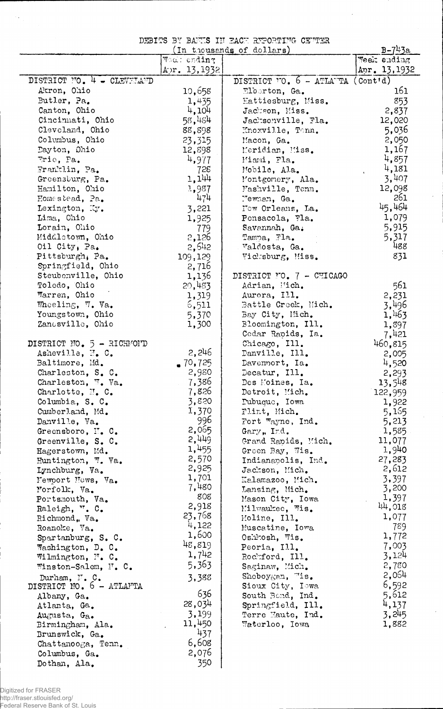DEBITS BY BAIL'S I!T EACH xffPQRTiro CSTTSR

 $\frac{1}{2}$ 

 $\bar{t}$ 

|                            |              | (In thousands of dollars)                                   | $B - 743a$    |
|----------------------------|--------------|-------------------------------------------------------------|---------------|
|                            | Wool: ending |                                                             | Week ending   |
|                            | Apr. 13,1932 |                                                             | Apr. 13, 1932 |
| DISTRICT NO. 4 - CLEVELAND |              | DISTRICT $\overline{O}$ . 6 - ATLA $\overline{TA}$ (Cont'd) |               |
| Akron, Ohio                | 10,658       | $E$ lborton, Ga.                                            | 161           |
| Butler, Pa.                | 1,435        | Eattiesburg, Miss.                                          | 853           |
| Canton, Ohio               | 4,104        | Jackson, Miss.                                              | 2,837         |
| Cincinnati, Ohio           | 58,484       | Jacksonville, Fla.                                          | 12,020        |
| Cleveland, Ohio            | 88,898       | Knoxville, Tonn.                                            | 5,036         |
| Columbus, Ohio             | 23,315       | Macon, Ga.                                                  | 2,050         |
| Dayton, Ohio               | 12,898       | Meridian, Miss.                                             | 1,167         |
| Trie, Pa.                  | 4,977        | Miami, Fla.                                                 | 4,857         |
| Franklin, Pa.              | 728          | Mobile, Ala.                                                | 4,181         |
| Greensburg, Pa.            | 1,144        | Montgomery, Ala.                                            | 3,407         |
| Hamilton, Ohio             | 1,987        | Mashville, Tenn.                                            | 12,098        |
| Homestead, Pa.             | 474          | Mewhan, Ga.                                                 | 261           |
| Lexington, Ky.             | 3,221        | Now Orleans, La.                                            | 45,464        |
| Lima, Chio                 | 1,925        | Pensacola, Fla.                                             | 1,079         |
| Lorain, Ohio               | 779          | Savannah, Ga.                                               | 5,915         |
| Middletown, Ohio           | 2,126        | Tampa, Fla.                                                 | 5,317         |
| Oil City, Pa.              | 2,642        | Valdosta, Ga.                                               | 488           |
| Pittsburgh, Pa.            | 109,129      | Vicksburg, Miss.                                            | 831           |
| Springfield, Ohio          | 2,716        |                                                             |               |
| Steubenville, Ohio         | 1,136        | DISTRICT NO. 7 - CHICAGO                                    |               |
| Toledo, Ohio               | 20,483       | Adrian, Wich.                                               | 561           |
| Warren, Ohio               | 1,319        | Aurora, Ill.                                                | 2,231         |
| Wheeling, W. Va.           | 6,511        | Battle Creek, Mich.                                         | 3,496         |
| Youngstown, Ohio           | 5,370        | Bay City, Mich.                                             | 1,463         |
| Zanesville, Ohio           | 1,300        | Bloomington, Ill.                                           | 1,397         |
|                            |              | Cedar Rapids, Ia.                                           | 7,421         |
| DISTRICT NO. 5 - RICHMOND  |              | Chicago, Ill.                                               | 460,815       |
| Asheville, N. C.           | 2,246        | Danville, Ill.                                              | 2,005         |
| Baltimore, Md.             | $-70,725$    | Davenmort, Ia.                                              | 4,520         |
| Charleston, S. C.          | 2,980        | Decatur, Ill.                                               | 2,293         |
| Charleston, W. Va.         | 7,386        | Des Moines, Ia.                                             | 13,548        |
| Charlotte, M. C.           | 7,826        | Detroit, Mich.                                              | 122,959       |
| Columbia, S. C.            | 3,820        | Pubuque, Iowa                                               | 1,922         |
| Cumberland, Md.            | 1,370        | Flint, Mich.                                                | 5,165         |
| Danville, Va.              | 996          | Fort Wayne, Ind.                                            | 5,213         |
| Greensboro, N.C.           | 2,065        | Gary, Ind.                                                  | 1,585         |
| Greenville, S. C.          | 2,449        | Grand Rapids, Mich.                                         | 11,077        |
| Hagerstown, Md.            | 1,455        | Green Bay, Wis.                                             | 1,940         |
| Huntington, W. Va.         | 2,570        | Indianapolis, Ind.                                          | 27,283        |
| Lynchburg, Va.             | 2,925        | Jackson, Mich.                                              | 2,612         |
| Newport News, Va.          | 1,701        | Kalamazoo, Mich.                                            | 3,397         |
| Morfolk, Va.               | 7,480        | Lansing, Mich.                                              | 3,200         |
| Portsmouth, Va.            | 808          | Mason City, Iowa                                            | 1,397         |
| Raleigh, ". C.             | 2,918        | Milwaukee, Wis.                                             | 44,018        |
| Richmond, Va.              | 23,768       | Moline, Ill.                                                | 1,077         |
| Roanoke, Va.               | 4,122        | Muscatine, Iowa                                             | 789           |
| Spartanburg, S. C.         | 1,600        | Oshkosh, Wis.                                               | 1,772         |
| Washington, D. C.          | 48,819       | Peoria, Ill.                                                | 7,003         |
| Wilmington, N. C.          | 1,742        | Rochford, Ill.                                              | 3,124         |
| Winston-Salem, N. C.       | 5,363        | Saginaw, Mich.                                              | 2,780         |
| Durham, N. C.              | 3,388        | Sheboygan, "is.                                             | 2,064         |
| DISTRICT NO. 6 - ATLAFTA   |              | Sioux City, Iowa                                            | 6,592         |
| Albany, Ga.                | 636          | South Bend, Ind.                                            | 5,612         |
| Atlanta, Ga.               | 28,034       | Springfield, Ill.                                           | 4,137         |
| Augusta, Ga.               | 3,199        | Terre Haute, Ind.                                           | 3,245         |
| Birmingham, Ala.           | 11,450       | Waterloo, Iowa                                              | 1,882         |
| Brunswick, Ga.             | 437          |                                                             |               |
| Chattanooga, Tenn.         | 6,608        |                                                             |               |
| Columbus, Ga.              | 2,076        |                                                             |               |
| Dothan, Ala.               | 350          |                                                             |               |

 $\mathcal{L}_{\mathbf{A}}$